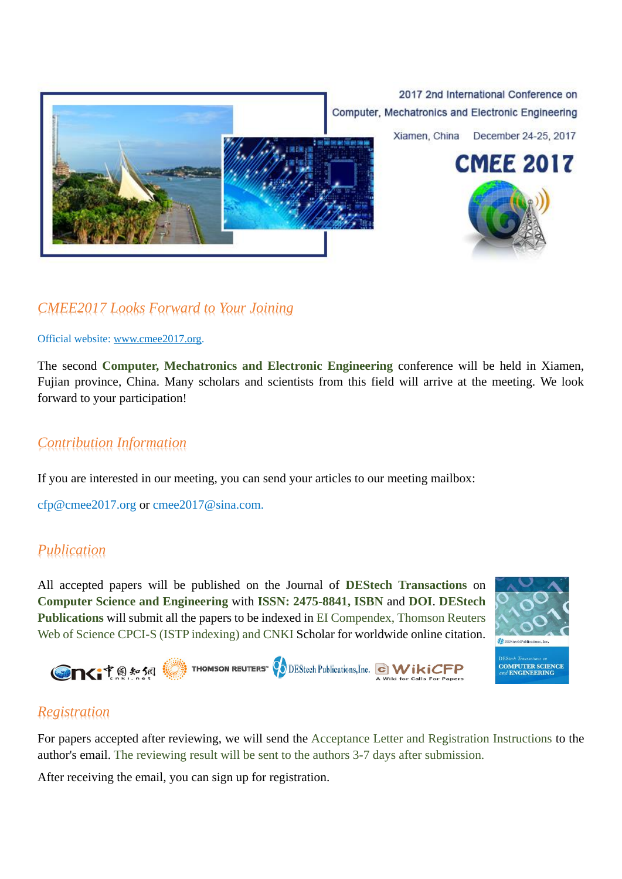

## *CMEE2017 Looks Forward to Your Joining*

Official website: [www.cmee2017.org.](http://www.cmee2017.org/)

The second **Computer, Mechatronics and Electronic Engineering** conference will be held in Xiamen, Fujian province, China. Many scholars and scientists from this field will arrive at the meeting. We look forward to your participation!

### *Contribution Information*

If you are interested in our meeting, you can send your articles to our meeting mailbox:

[cfp@cmee2017.org](mailto:cfp@cmee2017.org) or [cmee2017@sina.com.](mailto:cmee2017@sina.com)

#### *Publication*

All accepted papers will be published on the Journal of **DEStech Transactions** on **Computer Science and Engineering** with **ISSN: 2475-8841, ISBN** and **DOI**. **[DEStech](http://www.destechpub.com/)  [Publications](http://www.destechpub.com/)** will submit all the papers to be indexed in EI Compendex, Thomson Reuters Web of Science CPCI-S (ISTP indexing) and CNKI Scholar for worldwide online citation.





## *Registration*

For papers accepted after reviewing, we will send the Acceptance Letter and Registration Instructions to the author's email. The reviewing result will be sent to the authors 3-7 days after submission.

After receiving the email, you can sign up for registration.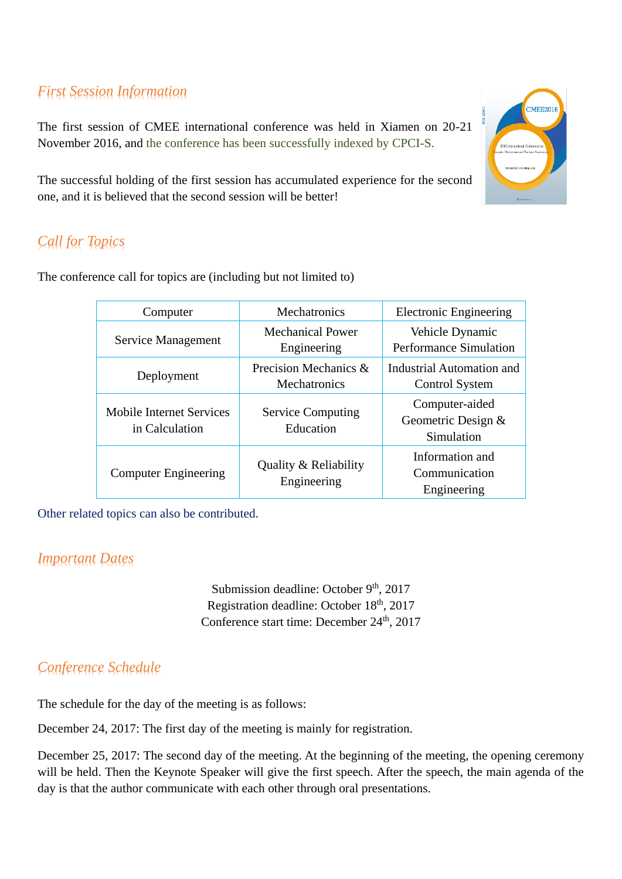# *First Session Information*

The first session of CMEE international conference was held in Xiamen on 20-21 November 2016, and the conference has been successfully indexed by CPCI-S.

The successful holding of the first session has accumulated experience for the second one, and it is believed that the second session will be better!

# *Call for Topics*

The conference call for topics are (including but not limited to)

| Computer                                   | Mechatronics                           | <b>Electronic Engineering</b>                      |
|--------------------------------------------|----------------------------------------|----------------------------------------------------|
| Service Management                         | <b>Mechanical Power</b><br>Engineering | Vehicle Dynamic<br>Performance Simulation          |
| Deployment                                 | Precision Mechanics &<br>Mechatronics  | Industrial Automation and<br><b>Control System</b> |
| Mobile Internet Services<br>in Calculation | <b>Service Computing</b><br>Education  | Computer-aided<br>Geometric Design &<br>Simulation |
| <b>Computer Engineering</b>                | Quality & Reliability<br>Engineering   | Information and<br>Communication<br>Engineering    |

Other related topics can also be contributed.

## *Important Dates*

Submission deadline: October 9<sup>th</sup>, 2017 Registration deadline: October 18th, 2017 Conference start time: December 24<sup>th</sup>, 2017

## *Conference Schedule*

The schedule for the day of the meeting is as follows:

December 24, 2017: The first day of the meeting is mainly for registration.

December 25, 2017: The second day of the meeting. At the beginning of the meeting, the opening ceremony will be held. Then the Keynote Speaker will give the first speech. After the speech, the main agenda of the day is that the author communicate with each other through oral presentations.